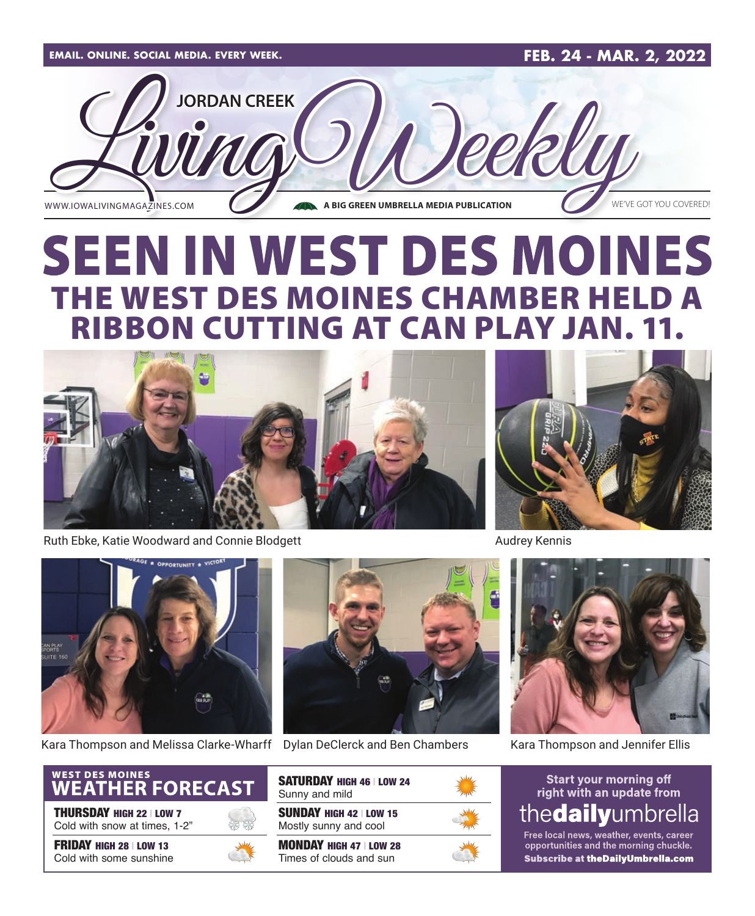

# **SEEN IN WEST DES MOINES** THE WEST DES MOINES CHAMBER HELD A RIBBON CUTTING AT CAN PLAY JAN. 11.



Ruth Ebke, Katie Woodward and Connie Blodgett



Kara Thompson and Melissa Clarke-Wharff Dylan DeClerck and Ben Chambers Kara Thompson and Jennifer Ellis



THURSDAY HIGH 22 | LOW 7 Cold with snow at times, 1-2"

FRIDAY HIGH 28 | LOW 13 Cold with some sunshine





| SATURDAY HIGH 46   LOW 24<br>Sunny and mild               |  |
|-----------------------------------------------------------|--|
| <b>SUNDAY HIGH 42   LOW 15</b><br>Mostly sunny and cool   |  |
| <b>MONDAY HIGH 47   LOW 28</b><br>Times of clouds and sun |  |



Audrey Kennis



#### **Start your morning off** right with an update from thedailyumbrella

Free local news, weather, events, career opportunities and the morning chuckle. Subscribe at the Daily Umbrella.com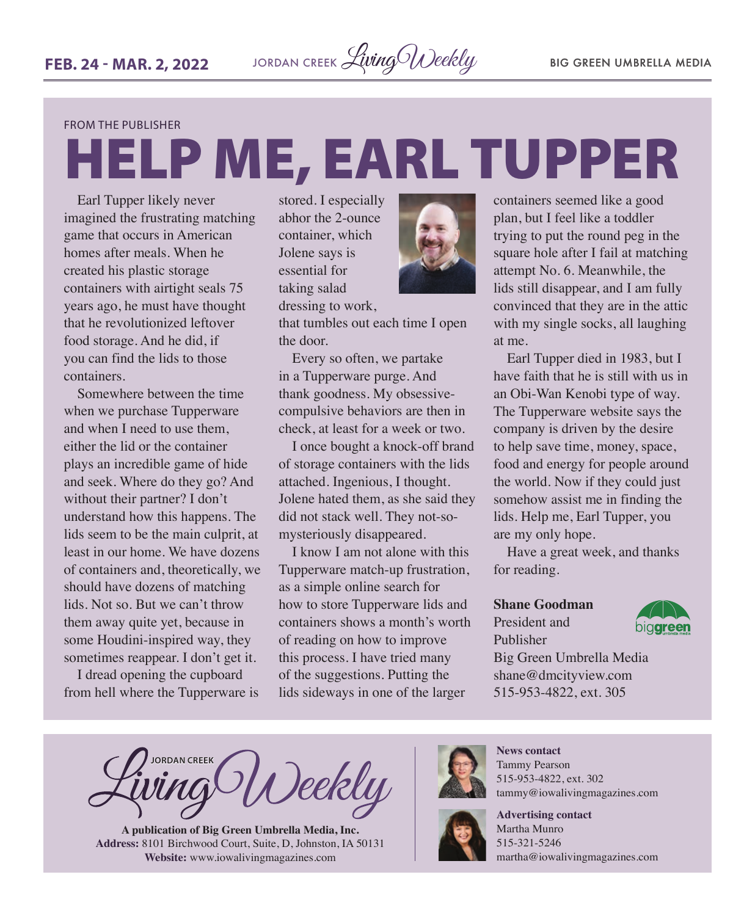FROM THE PUBLISHER

# HELP ME, EARL TUPPER

Earl Tupper likely never imagined the frustrating matching game that occurs in American homes after meals. When he created his plastic storage containers with airtight seals 75 years ago, he must have thought that he revolutionized leftover food storage. And he did, if you can find the lids to those containers.

Somewhere between the time when we purchase Tupperware and when I need to use them, either the lid or the container plays an incredible game of hide and seek. Where do they go? And without their partner? I don't understand how this happens. The lids seem to be the main culprit, at least in our home. We have dozens of containers and, theoretically, we should have dozens of matching lids. Not so. But we can't throw them away quite yet, because in some Houdini-inspired way, they sometimes reappear. I don't get it.

I dread opening the cupboard from hell where the Tupperware is

stored. I especially abhor the 2-ounce container, which Jolene says is essential for taking salad dressing to work,



that tumbles out each time I open the door.

Every so often, we partake in a Tupperware purge. And thank goodness. My obsessivecompulsive behaviors are then in check, at least for a week or two.

I once bought a knock-off brand of storage containers with the lids attached. Ingenious, I thought. Jolene hated them, as she said they did not stack well. They not-somysteriously disappeared.

I know I am not alone with this Tupperware match-up frustration, as a simple online search for how to store Tupperware lids and containers shows a month's worth of reading on how to improve this process. I have tried many of the suggestions. Putting the lids sideways in one of the larger

containers seemed like a good plan, but I feel like a toddler trying to put the round peg in the square hole after I fail at matching attempt No. 6. Meanwhile, the lids still disappear, and I am fully convinced that they are in the attic with my single socks, all laughing at me.

Earl Tupper died in 1983, but I have faith that he is still with us in an Obi-Wan Kenobi type of way. The Tupperware website says the company is driven by the desire to help save time, money, space, food and energy for people around the world. Now if they could just somehow assist me in finding the lids. Help me, Earl Tupper, you are my only hope.

Have a great week, and thanks for reading.

#### **Shane Goodman**

President and Publisher



Big Green Umbrella Media shane@dmcityview.com 515-953-4822, ext. 305

**JORDAN CREEK** )eekly

**A publication of Big Green Umbrella Media, Inc. Address:** 8101 Birchwood Court, Suite, D, Johnston, IA 50131 **Website:** [www.iowalivingmagazines.com](http://www.iowalivingmagazines.com)



**News contact** Tammy Pearson 515-953-4822, ext. 302 [tammy@iowalivingmagazines.com](mailto:tammy@iowalivingmagazines.com)



**Advertising contact** Martha Munro 515-321-5246 [martha@iowalivingmagazines.com](mailto:martha@iowalivingmagazines.com)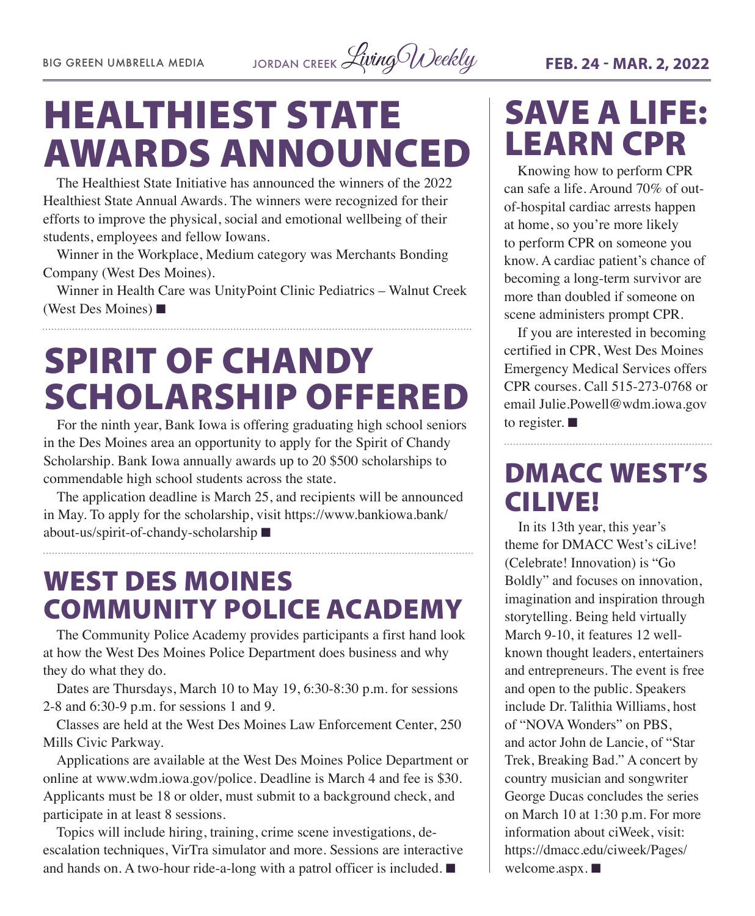BIG GREEN UMBRELLA MEDIA JORDAN CREEK *Living Weekly* FEB. 24 - MAR. 2, 2022

# HEALTHIEST STATE AWARDS ANNOUNCED

The Healthiest State Initiative has announced the winners of the 2022 Healthiest State Annual Awards. The winners were recognized for their efforts to improve the physical, social and emotional wellbeing of their students, employees and fellow Iowans.

Winner in the Workplace, Medium category was Merchants Bonding Company (West Des Moines).

Winner in Health Care was UnityPoint Clinic Pediatrics – Walnut Creek (West Des Moines)  $\blacksquare$ 

# SPIRIT OF CHANDY SCHOLARSHIP OFFERED

For the ninth year, Bank Iowa is offering graduating high school seniors in the Des Moines area an opportunity to apply for the Spirit of Chandy Scholarship. Bank Iowa annually awards up to 20 \$500 scholarships to commendable high school students across the state.

The application deadline is March 25, and recipients will be announced in May. To apply for the scholarship, visit [https://www.bankiowa.bank/](https://www.bankiowa.bank/about-us/spirit-of-chandy-scholarship) [about-us/spirit-of-chandy-scholarship](https://www.bankiowa.bank/about-us/spirit-of-chandy-scholarship)  $\blacksquare$ 

## WEST DES MOINES COMMUNITY POLICE ACADEMY

The Community Police Academy provides participants a first hand look at how the West Des Moines Police Department does business and why they do what they do.

Dates are Thursdays, March 10 to May 19, 6:30-8:30 p.m. for sessions 2-8 and 6:30-9 p.m. for sessions 1 and 9.

Classes are held at the West Des Moines Law Enforcement Center, 250 Mills Civic Parkway.

Applications are available at the West Des Moines Police Department or online at [www.wdm.iowa.gov/police.](http://www.wdm.iowa.gov/police) Deadline is March 4 and fee is \$30. Applicants must be 18 or older, must submit to a background check, and participate in at least 8 sessions.

Topics will include hiring, training, crime scene investigations, deescalation techniques, VirTra simulator and more. Sessions are interactive and hands on. A two-hour ride-a-long with a patrol officer is included.  $\blacksquare$ 

# SAVE A LIFE: LEARN CPR

Knowing how to perform CPR can safe a life. Around 70% of outof-hospital cardiac arrests happen at home, so you're more likely to perform CPR on someone you know. A cardiac patient's chance of becoming a long-term survivor are more than doubled if someone on scene administers prompt CPR.

If you are interested in becoming certified in CPR, West Des Moines Emergency Medical Services offers CPR courses. Call 515-273-0768 or email [Julie.Powell@wdm.iowa.gov](mailto:Julie.Powell@wdm.iowa.gov) to register.  $\blacksquare$ 

## DMACC WEST'S CILIVE!

In its 13th year, this year's theme for DMACC West's ciLive! (Celebrate! Innovation) is "Go Boldly" and focuses on innovation, imagination and inspiration through storytelling. Being held virtually March 9-10, it features 12 wellknown thought leaders, entertainers and entrepreneurs. The event is free and open to the public. Speakers include Dr. Talithia Williams, host of "NOVA Wonders" on PBS, and actor John de Lancie, of "Star Trek, Breaking Bad." A concert by country musician and songwriter George Ducas concludes the series on March 10 at 1:30 p.m. For more information about ciWeek, visit: [https://dmacc.edu/ciweek/Pages/](https://dmacc.edu/ciweek/Pages/welcome.aspx) [welcome.aspx](https://dmacc.edu/ciweek/Pages/welcome.aspx).  $\blacksquare$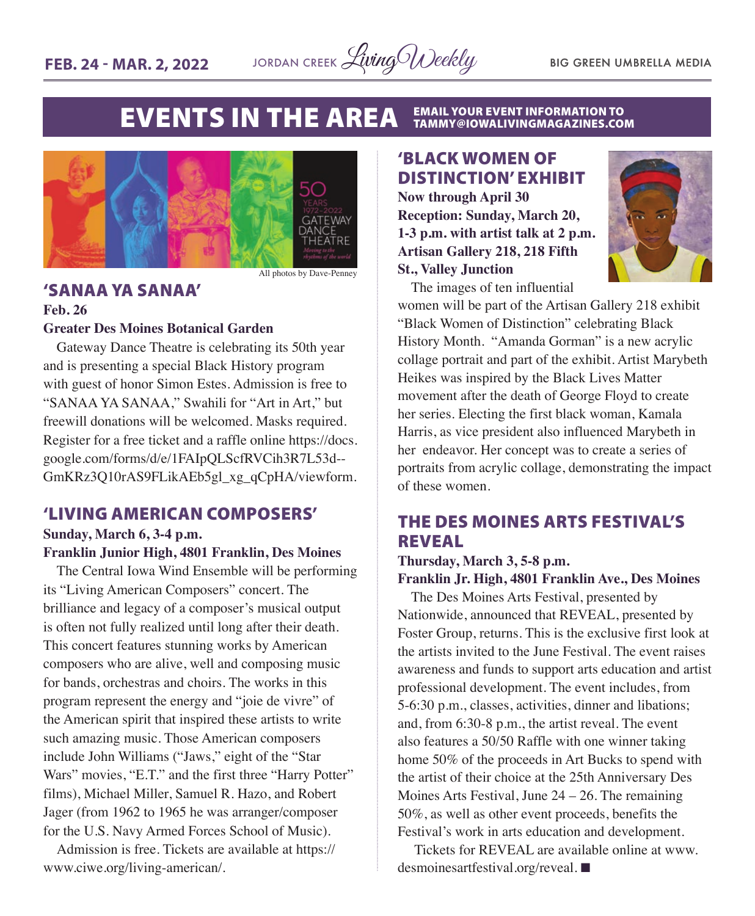

#### **EVENTS IN THE AREA EMAIL YOUR EVENT INFORMATION TO<br>TAMMY@IOWALIVINGMAGAZINES.COM**



All photos by Dave-Penney

#### 'SANAA YA SANAA' **Feb. 26**

#### **Greater Des Moines Botanical Garden**

Gateway Dance Theatre is celebrating its 50th year and is presenting a special Black History program with guest of honor Simon Estes. Admission is free to "SANAA YA SANAA," Swahili for "Art in Art," but freewill donations will be welcomed. Masks required. Register for a free ticket and a raffle online [https://docs.](https://docs.google.com/forms/d/e/1FAIpQLScfRVCih3R7L53d--GmKRz3Q10rAS9FLikAEb5gl_xg_qCpHA/viewform) [google.com/forms/d/e/1FAIpQLScfRVCih3R7L53d--](https://docs.google.com/forms/d/e/1FAIpQLScfRVCih3R7L53d--GmKRz3Q10rAS9FLikAEb5gl_xg_qCpHA/viewform) [GmKRz3Q10rAS9FLikAEb5gl\\_xg\\_qCpHA/viewform.](https://docs.google.com/forms/d/e/1FAIpQLScfRVCih3R7L53d--GmKRz3Q10rAS9FLikAEb5gl_xg_qCpHA/viewform)

### 'LIVING AMERICAN COMPOSERS'

#### **Sunday, March 6, 3-4 p.m. Franklin Junior High, 4801 Franklin, Des Moines**

The Central Iowa Wind Ensemble will be performing its "Living American Composers" concert. The brilliance and legacy of a composer's musical output is often not fully realized until long after their death. This concert features stunning works by American composers who are alive, well and composing music for bands, orchestras and choirs. The works in this program represent the energy and "joie de vivre" of the American spirit that inspired these artists to write such amazing music. Those American composers include John Williams ("Jaws," eight of the "Star Wars" movies, "E.T." and the first three "Harry Potter" films), Michael Miller, Samuel R. Hazo, and Robert Jager (from 1962 to 1965 he was arranger/composer for the U.S. Navy Armed Forces School of Music).

Admission is free. Tickets are available at [https://](https://www.ciwe.org/living-american/) [www.ciwe.org/living-american/](https://www.ciwe.org/living-american/).

### 'BLACK WOMEN OF DISTINCTION' EXHIBIT

**Now through April 30 Reception: Sunday, March 20, 1-3 p.m. with artist talk at 2 p.m. Artisan Gallery 218, 218 Fifth St., Valley Junction**



The images of ten influential

women will be part of the Artisan Gallery 218 exhibit "Black Women of Distinction" celebrating Black History Month. "Amanda Gorman" is a new acrylic collage portrait and part of the exhibit. Artist Marybeth Heikes was inspired by the Black Lives Matter movement after the death of George Floyd to create her series. Electing the first black woman, Kamala Harris, as vice president also influenced Marybeth in her endeavor. Her concept was to create a series of portraits from acrylic collage, demonstrating the impact of these women.

### THE DES MOINES ARTS FESTIVAL'S REVEAL

#### **Thursday, March 3, 5-8 p.m. Franklin Jr. High, 4801 Franklin Ave., Des Moines**

The Des Moines Arts Festival, presented by Nationwide, announced that REVEAL, presented by Foster Group, returns. This is the exclusive first look at the artists invited to the June Festival. The event raises awareness and funds to support arts education and artist professional development. The event includes, from 5-6:30 p.m., classes, activities, dinner and libations; and, from 6:30-8 p.m., the artist reveal. The event also features a 50/50 Raffle with one winner taking home 50% of the proceeds in Art Bucks to spend with the artist of their choice at the 25th Anniversary Des Moines Arts Festival, June 24 – 26. The remaining 50%, as well as other event proceeds, benefits the Festival's work in arts education and development.

Tickets for REVEAL are available online at [www.](http://www.desmoinesartfestival.org/reveal) [desmoinesartfestival.org/reveal](http://www.desmoinesartfestival.org/reveal). ■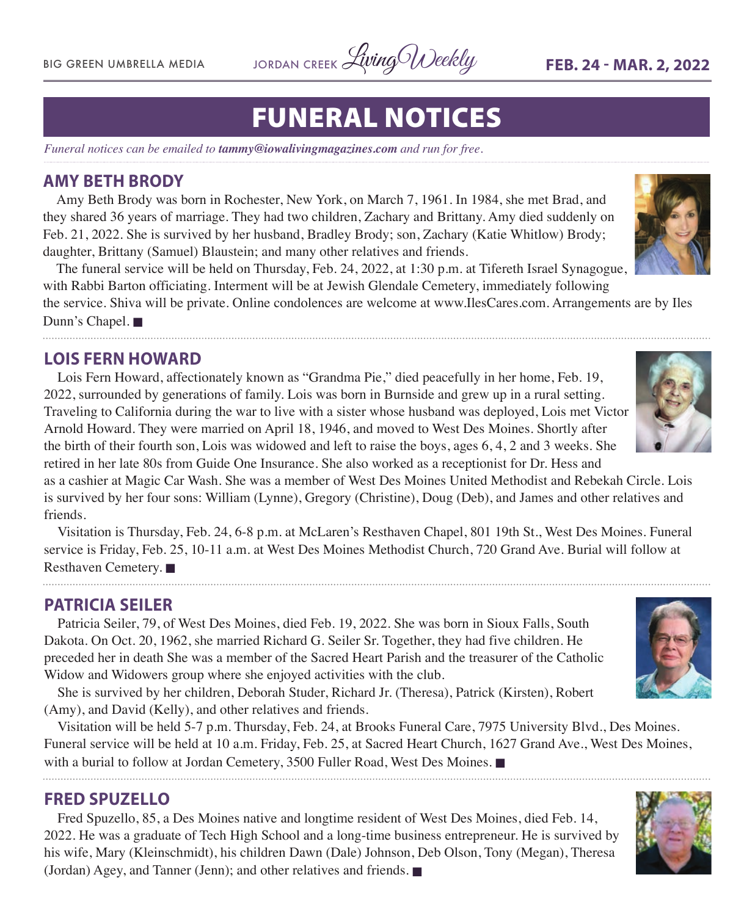

# FUNERAL NOTICES

*Funeral notices can be emailed to tammy@iowalivingmagazines.com and run for free.*

#### **AMY BETH BRODY**

Amy Beth Brody was born in Rochester, New York, on March 7, 1961. In 1984, she met Brad, and they shared 36 years of marriage. They had two children, Zachary and Brittany. Amy died suddenly on Feb. 21, 2022. She is survived by her husband, Bradley Brody; son, Zachary (Katie Whitlow) Brody; daughter, Brittany (Samuel) Blaustein; and many other relatives and friends.

The funeral service will be held on Thursday, Feb. 24, 2022, at 1:30 p.m. at Tifereth Israel Synagogue, with Rabbi Barton officiating. Interment will be at Jewish Glendale Cemetery, immediately following

the service. Shiva will be private. Online condolences are welcome at [www.IlesCares.com.](http://www.IlesCares.com) Arrangements are by Iles Dunn's Chapel. **■** 

#### **LOIS FERN HOWARD**

Lois Fern Howard, affectionately known as "Grandma Pie," died peacefully in her home, Feb. 19, 2022, surrounded by generations of family. Lois was born in Burnside and grew up in a rural setting. Traveling to California during the war to live with a sister whose husband was deployed, Lois met Victor Arnold Howard. They were married on April 18, 1946, and moved to West Des Moines. Shortly after the birth of their fourth son, Lois was widowed and left to raise the boys, ages 6, 4, 2 and 3 weeks. She retired in her late 80s from Guide One Insurance. She also worked as a receptionist for Dr. Hess and

as a cashier at Magic Car Wash. She was a member of West Des Moines United Methodist and Rebekah Circle. Lois is survived by her four sons: William (Lynne), Gregory (Christine), Doug (Deb), and James and other relatives and friends.

Visitation is Thursday, Feb. 24, 6-8 p.m. at McLaren's Resthaven Chapel, 801 19th St., West Des Moines. Funeral service is Friday, Feb. 25, 10-11 a.m. at West Des Moines Methodist Church, 720 Grand Ave. Burial will follow at Resthaven Cemetery.

#### **PATRICIA SEILER**

Patricia Seiler, 79, of West Des Moines, died Feb. 19, 2022. She was born in Sioux Falls, South Dakota. On Oct. 20, 1962, she married Richard G. Seiler Sr. Together, they had five children. He preceded her in death She was a member of the Sacred Heart Parish and the treasurer of the Catholic Widow and Widowers group where she enjoyed activities with the club.

She is survived by her children, Deborah Studer, Richard Jr. (Theresa), Patrick (Kirsten), Robert (Amy), and David (Kelly), and other relatives and friends.

Visitation will be held 5-7 p.m. Thursday, Feb. 24, at Brooks Funeral Care, 7975 University Blvd., Des Moines. Funeral service will be held at 10 a.m. Friday, Feb. 25, at Sacred Heart Church, 1627 Grand Ave., West Des Moines, with a burial to follow at Jordan Cemetery, 3500 Fuller Road, West Des Moines.

#### **FRED SPUZELLO**

Fred Spuzello, 85, a Des Moines native and longtime resident of West Des Moines, died Feb. 14, 2022. He was a graduate of Tech High School and a long-time business entrepreneur. He is survived by his wife, Mary (Kleinschmidt), his children Dawn (Dale) Johnson, Deb Olson, Tony (Megan), Theresa (Jordan) Agey, and Tanner (Jenn); and other relatives and friends.  $\blacksquare$ 







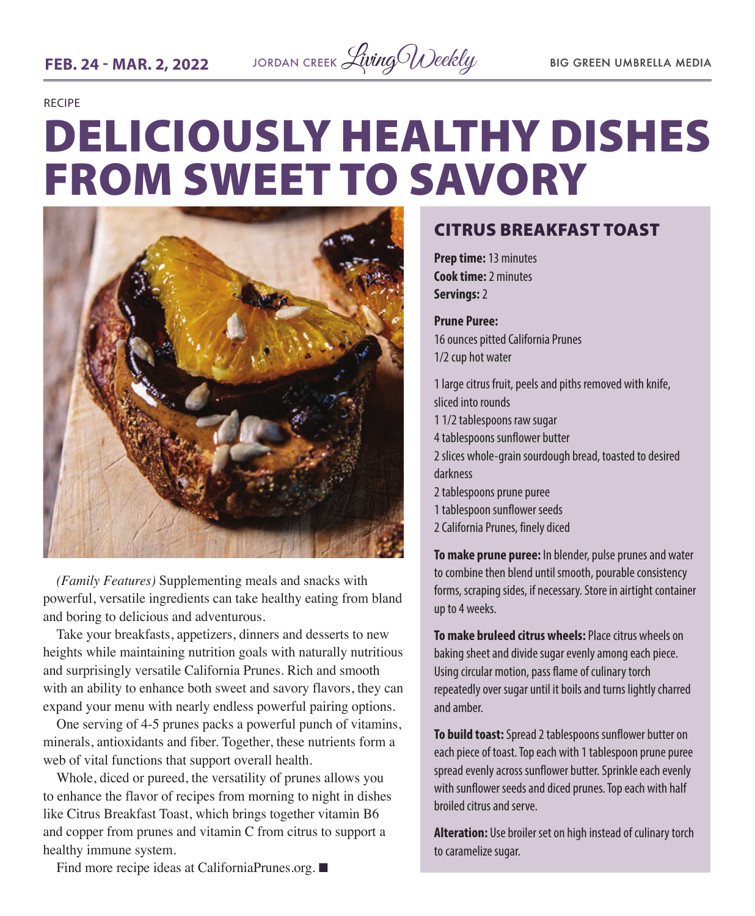

RECIPE

# DELICIOUSLY HEALTHY DISHES FROM SWEET TO SAVORY



*(Family Features)* Supplementing meals and snacks with powerful, versatile ingredients can take healthy eating from bland and boring to delicious and adventurous.

Take your breakfasts, appetizers, dinners and desserts to new heights while maintaining nutrition goals with naturally nutritious and surprisingly versatile California Prunes. Rich and smooth with an ability to enhance both sweet and savory flavors, they can expand your menu with nearly endless powerful pairing options.

One serving of 4-5 prunes packs a powerful punch of vitamins, minerals, antioxidants and fiber. Together, these nutrients form a web of vital functions that support overall health.

Whole, diced or pureed, the versatility of prunes allows you to enhance the flavor of recipes from morning to night in dishes like Citrus Breakfast Toast, which brings together vitamin B6 and copper from prunes and vitamin C from citrus to support a healthy immune system.

### CITRUS BREAKFAST TOAST

**Prep time:** 13 minutes **Cook time:** 2 minutes **Servings:** 2

**Prune Puree:**  16 ounces pitted California Prunes 1/2 cup hot water

1 large citrus fruit, peels and piths removed with knife, sliced into rounds 1 1/2 tablespoons raw sugar 4 tablespoons sunflower butter 2 slices whole-grain sourdough bread, toasted to desired darkness 2 tablespoons prune puree 1 tablespoon sunflower seeds 2 California Prunes, finely diced

**To make prune puree:** In blender, pulse prunes and water to combine then blend until smooth, pourable consistency forms, scraping sides, if necessary. Store in airtight container up to 4 weeks.

**To make bruleed citrus wheels:** Place citrus wheels on baking sheet and divide sugar evenly among each piece. Using circular motion, pass flame of culinary torch repeatedly over sugar until it boils and turns lightly charred and amber.

**To build toast:** Spread 2 tablespoons sunflower butter on each piece of toast. Top each with 1 tablespoon prune puree spread evenly across sunflower butter. Sprinkle each evenly with sunflower seeds and diced prunes. Top each with half broiled citrus and serve.

**Alteration:** Use broiler set on high instead of culinary torch to caramelize sugar.

Find more recipe ideas at [CaliforniaPrunes.org](http://CaliforniaPrunes.org).  $\blacksquare$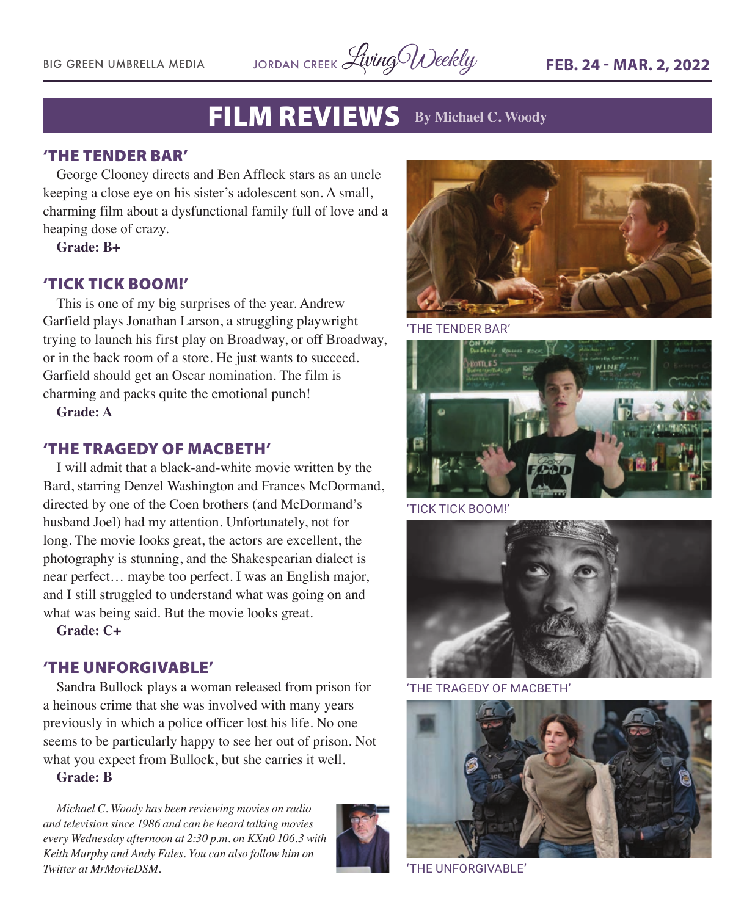

### FILM REVIEWS **By Michael C. Woody**

#### 'THE TENDER BAR'

George Clooney directs and Ben Affleck stars as an uncle keeping a close eye on his sister's adolescent son. A small, charming film about a dysfunctional family full of love and a heaping dose of crazy.

**Grade: B+**

#### 'TICK TICK BOOM!'

This is one of my big surprises of the year. Andrew Garfield plays Jonathan Larson, a struggling playwright trying to launch his first play on Broadway, or off Broadway, or in the back room of a store. He just wants to succeed. Garfield should get an Oscar nomination. The film is charming and packs quite the emotional punch!

**Grade: A**

#### 'THE TRAGEDY OF MACBETH'

I will admit that a black-and-white movie written by the Bard, starring Denzel Washington and Frances McDormand, directed by one of the Coen brothers (and McDormand's husband Joel) had my attention. Unfortunately, not for long. The movie looks great, the actors are excellent, the photography is stunning, and the Shakespearian dialect is near perfect… maybe too perfect. I was an English major, and I still struggled to understand what was going on and what was being said. But the movie looks great.

**Grade: C+**

#### 'THE UNFORGIVABLE'

Sandra Bullock plays a woman released from prison for a heinous crime that she was involved with many years previously in which a police officer lost his life. No one seems to be particularly happy to see her out of prison. Not what you expect from Bullock, but she carries it well.

**Grade: B**

*Michael C. Woody has been reviewing movies on radio and television since 1986 and can be heard talking movies every Wednesday afternoon at 2:30 p.m. on KXn0 106.3 with Keith Murphy and Andy Fales. You can also follow him on Twitter at MrMovieDSM.* 





'THE TENDER BAR'



'TICK TICK BOOM!'



'THE TRAGEDY OF MACBETH'



'THE UNFORGIVABLE'